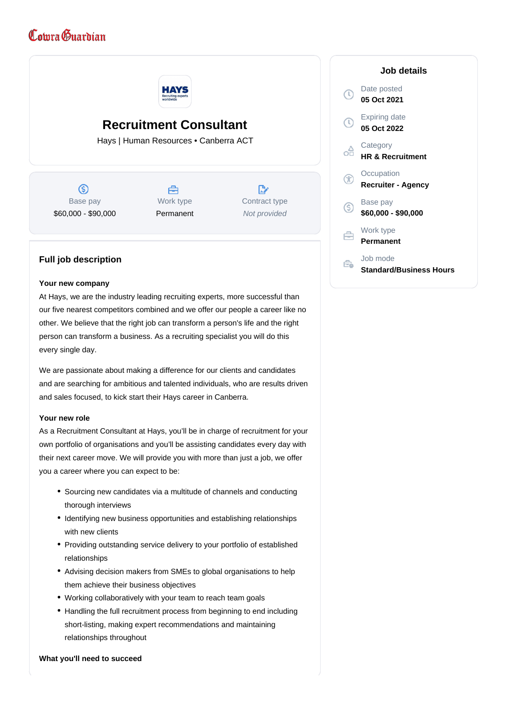# Comra Guardian



## **Recruitment Consultant**

Hays | Human Resources • Canberra ACT

൫ Base pay \$60,000 - \$90,000



 $\mathbb{R}^{\cdot}$ Contract type Not provided

### **Full job description**

#### **Your new company**

At Hays, we are the industry leading recruiting experts, more successful than our five nearest competitors combined and we offer our people a career like no other. We believe that the right job can transform a person's life and the right person can transform a business. As a recruiting specialist you will do this every single day.

We are passionate about making a difference for our clients and candidates and are searching for ambitious and talented individuals, who are results driven and sales focused, to kick start their Hays career in Canberra.

#### **Your new role**

As a Recruitment Consultant at Hays, you'll be in charge of recruitment for your own portfolio of organisations and you'll be assisting candidates every day with their next career move. We will provide you with more than just a job, we offer you a career where you can expect to be:

- Sourcing new candidates via a multitude of channels and conducting thorough interviews
- Identifying new business opportunities and establishing relationships with new clients
- Providing outstanding service delivery to your portfolio of established relationships
- Advising decision makers from SMEs to global organisations to help them achieve their business objectives
- Working collaboratively with your team to reach team goals
- Handling the full recruitment process from beginning to end including short-listing, making expert recommendations and maintaining relationships throughout

#### **What you'll need to succeed**

|              | Job details                                |
|--------------|--------------------------------------------|
| $\tau$       | Date posted<br>05 Oct 2021                 |
| $\mathbb{T}$ | Expiring date<br>05 Oct 2022               |
|              | Category<br><b>HR &amp; Recruitment</b>    |
| F            | Occupation<br><b>Recruiter - Agency</b>    |
| S            | Base pay<br>\$60,000 - \$90,000            |
|              | Work type<br>Permanent                     |
|              | Job mode<br><b>Standard/Business Hours</b> |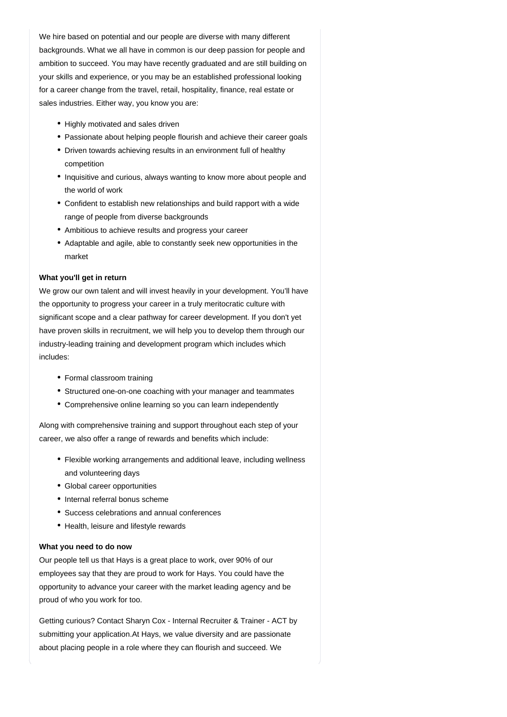We hire based on potential and our people are diverse with many different backgrounds. What we all have in common is our deep passion for people and ambition to succeed. You may have recently graduated and are still building on your skills and experience, or you may be an established professional looking for a career change from the travel, retail, hospitality, finance, real estate or sales industries. Either way, you know you are:

- Highly motivated and sales driven
- Passionate about helping people flourish and achieve their career goals
- Driven towards achieving results in an environment full of healthy competition
- Inquisitive and curious, always wanting to know more about people and the world of work
- Confident to establish new relationships and build rapport with a wide range of people from diverse backgrounds
- Ambitious to achieve results and progress your career
- Adaptable and agile, able to constantly seek new opportunities in the market

#### **What you'll get in return**

We grow our own talent and will invest heavily in your development. You'll have the opportunity to progress your career in a truly meritocratic culture with significant scope and a clear pathway for career development. If you don't yet have proven skills in recruitment, we will help you to develop them through our industry-leading training and development program which includes which includes:

- Formal classroom training
- Structured one-on-one coaching with your manager and teammates
- Comprehensive online learning so you can learn independently

Along with comprehensive training and support throughout each step of your career, we also offer a range of rewards and benefits which include:

- Flexible working arrangements and additional leave, including wellness and volunteering days
- Global career opportunities
- Internal referral bonus scheme
- Success celebrations and annual conferences
- Health, leisure and lifestyle rewards

#### **What you need to do now**

Our people tell us that Hays is a great place to work, over 90% of our employees say that they are proud to work for Hays. You could have the opportunity to advance your career with the market leading agency and be proud of who you work for too.

Getting curious? Contact Sharyn Cox - Internal Recruiter & Trainer - ACT by submitting your application.At Hays, we value diversity and are passionate about placing people in a role where they can flourish and succeed. We